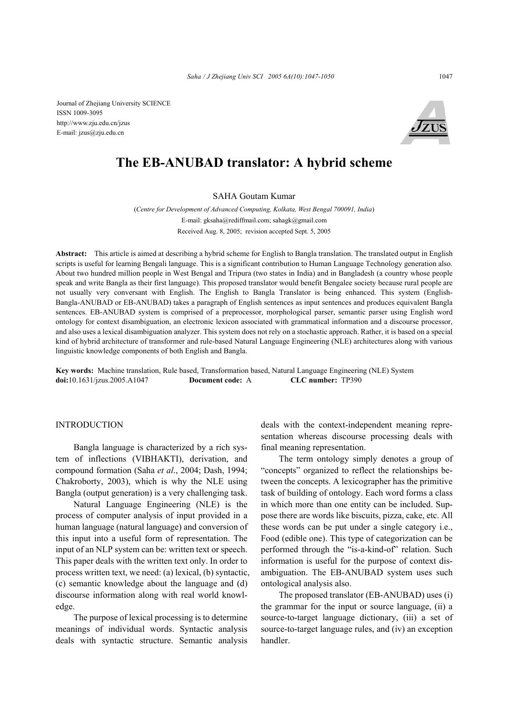Journal of Zhejiang University SCIENCE ISSN 1009-3095 http://www.zju.edu.cn/jzus E-mail: jzus@zju.edu.cn



# **The EB-ANUBAD translator: A hybrid scheme**

SAHA Goutam Kumar

(*Centre for Development of Advanced Computing, Kolkata, West Bengal 700091, India*) E-mail: gksaha@rediffmail.com; sahagk@gmail.com Received Aug. 8, 2005; revision accepted Sept. 5, 2005

**Abstract:** This article is aimed at describing a hybrid scheme for English to Bangla translation. The translated output in English scripts is useful for learning Bengali language. This is a significant contribution to Human Language Technology generation also. About two hundred million people in West Bengal and Tripura (two states in India) and in Bangladesh (a country whose people speak and write Bangla as their first language). This proposed translator would benefit Bengalee society because rural people are not usually very conversant with English. The English to Bangla Translator is being enhanced. This system (English-Bangla-ANUBAD or EB-ANUBAD) takes a paragraph of English sentences as input sentences and produces equivalent Bangla sentences. EB-ANUBAD system is comprised of a preprocessor, morphological parser, semantic parser using English word ontology for context disambiguation, an electronic lexicon associated with grammatical information and a discourse processor, and also uses a lexical disambiguation analyzer. This system does not rely on a stochastic approach. Rather, it is based on a special kind of hybrid architecture of transformer and rule-based Natural Language Engineering (NLE) architectures along with various linguistic knowledge components of both English and Bangla.

**Key words:** Machine translation, Rule based, Transformation based, Natural Language Engineering (NLE) System **doi:**10.1631/jzus.2005.A1047 **Document code:** A **CLC number:** TP390

## INTRODUCTION

Bangla language is characterized by a rich system of inflections (VIBHAKTI), derivation, and compound formation (Saha *et al*., 2004; Dash, 1994; Chakroborty, 2003), which is why the NLE using Bangla (output generation) is a very challenging task.

Natural Language Engineering (NLE) is the process of computer analysis of input provided in a human language (natural language) and conversion of this input into a useful form of representation. The input of an NLP system can be: written text or speech. This paper deals with the written text only. In order to process written text, we need: (a) lexical, (b) syntactic, (c) semantic knowledge about the language and (d) discourse information along with real world knowledge.

The purpose of lexical processing is to determine meanings of individual words. Syntactic analysis deals with syntactic structure. Semantic analysis

deals with the context-independent meaning representation whereas discourse processing deals with final meaning representation.

The term ontology simply denotes a group of "concepts" organized to reflect the relationships between the concepts. A lexicographer has the primitive task of building of ontology. Each word forms a class in which more than one entity can be included. Suppose there are words like biscuits, pizza, cake, etc. All these words can be put under a single category i.e., Food (edible one). This type of categorization can be performed through the "is-a-kind-of" relation. Such information is useful for the purpose of context disambiguation. The EB-ANUBAD system uses such ontological analysis also.

The proposed translator (EB-ANUBAD) uses (i) the grammar for the input or source language, (ii) a source-to-target language dictionary, (iii) a set of source-to-target language rules, and (iv) an exception handler.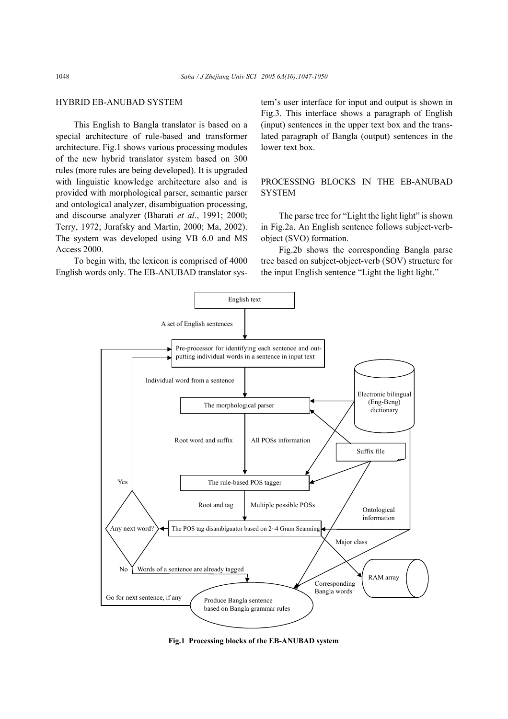## HYBRID EB-ANUBAD SYSTEM

This English to Bangla translator is based on a special architecture of rule-based and transformer architecture. Fig.1 shows various processing modules of the new hybrid translator system based on 300 rules (more rules are being developed). It is upgraded with linguistic knowledge architecture also and is provided with morphological parser, semantic parser and ontological analyzer, disambiguation processing, and discourse analyzer (Bharati *et al*., 1991; 2000; Terry, 1972; Jurafsky and Martin, 2000; Ma, 2002). The system was developed using VB 6.0 and MS Access 2000.

To begin with, the lexicon is comprised of 4000 English words only. The EB-ANUBAD translator system's user interface for input and output is shown in Fig.3. This interface shows a paragraph of English (input) sentences in the upper text box and the translated paragraph of Bangla (output) sentences in the lower text box.

## PROCESSING BLOCKS IN THE EB-ANUBAD **SYSTEM**

The parse tree for "Light the light light" is shown in Fig.2a. An English sentence follows subject-verbobject (SVO) formation.

Fig.2b shows the corresponding Bangla parse tree based on subject-object-verb (SOV) structure for the input English sentence "Light the light light."



**Fig.1 Processing blocks of the EB-ANUBAD system**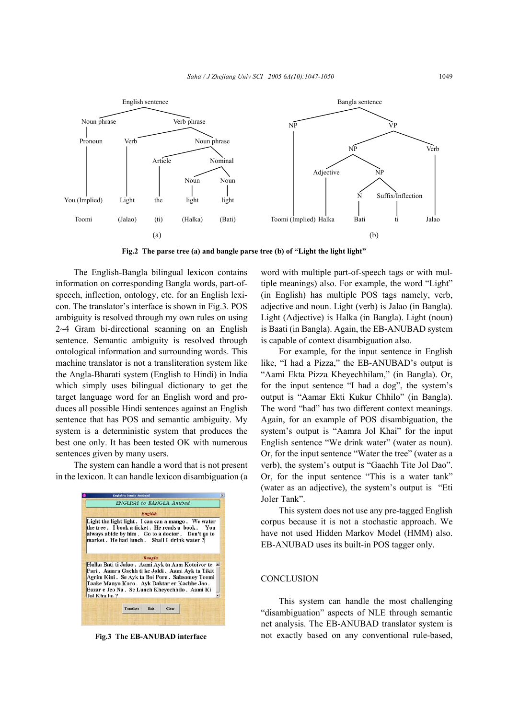

**Fig.2 The parse tree (a) and bangle parse tree (b) of "Light the light light"** 

The English-Bangla bilingual lexicon contains information on corresponding Bangla words, part-ofspeech, inflection, ontology, etc. for an English lexicon. The translator's interface is shown in Fig.3. POS ambiguity is resolved through my own rules on using 2**~**4 Gram bi-directional scanning on an English sentence. Semantic ambiguity is resolved through ontological information and surrounding words. This machine translator is not a transliteration system like the Angla-Bharati system (English to Hindi) in India which simply uses bilingual dictionary to get the target language word for an English word and produces all possible Hindi sentences against an English sentence that has POS and semantic ambiguity. My system is a deterministic system that produces the best one only. It has been tested OK with numerous sentences given by many users.

The system can handle a word that is not present in the lexicon. It can handle lexicon disambiguation (a



word with multiple part-of-speech tags or with multiple meanings) also. For example, the word "Light" (in English) has multiple POS tags namely, verb, adjective and noun. Light (verb) is Jalao (in Bangla). Light (Adjective) is Halka (in Bangla). Light (noun) is Baati (in Bangla). Again, the EB-ANUBAD system is capable of context disambiguation also.

For example, for the input sentence in English like, "I had a Pizza," the EB-ANUBAD's output is "Aami Ekta Pizza Kheyechhilam," (in Bangla). Or, for the input sentence "I had a dog", the system's output is "Aamar Ekti Kukur Chhilo" (in Bangla). The word "had" has two different context meanings. Again, for an example of POS disambiguation, the system's output is "Aamra Jol Khai" for the input English sentence "We drink water" (water as noun). Or, for the input sentence "Water the tree" (water as a verb), the system's output is "Gaachh Tite Jol Dao". Or, for the input sentence "This is a water tank" (water as an adjective), the system's output is "Eti Joler Tank".

This system does not use any pre-tagged English corpus because it is not a stochastic approach. We have not used Hidden Markov Model (HMM) also. EB-ANUBAD uses its built-in POS tagger only.

### **CONCLUSION**

This system can handle the most challenging "disambiguation" aspects of NLE through semantic net analysis. The EB-ANUBAD translator system is **Fig.3 The EB-ANUBAD interface** not exactly based on any conventional rule-based,